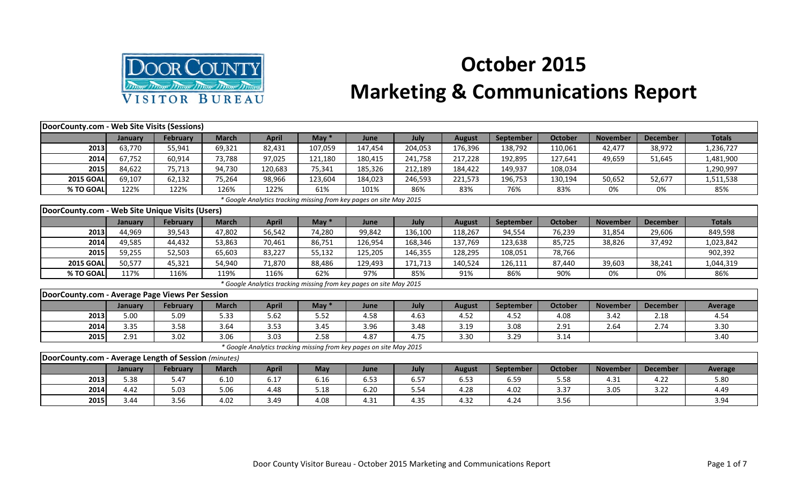

## **October 2015 Marketing & Communications Report**

| DoorCounty.com - Web Site Visits (Sessions)          |         |                 |              |                                                                     |         |         |         |               |           |                |                 |                 |                |
|------------------------------------------------------|---------|-----------------|--------------|---------------------------------------------------------------------|---------|---------|---------|---------------|-----------|----------------|-----------------|-----------------|----------------|
|                                                      | January | <b>February</b> | <b>March</b> | <b>April</b>                                                        | May $*$ | June    | July    | <b>August</b> | September | <b>October</b> | <b>November</b> | <b>December</b> | <b>Totals</b>  |
| 2013                                                 | 63,770  | 55,941          | 69,321       | 82,431                                                              | 107,059 | 147,454 | 204,053 | 176,396       | 138,792   | 110,061        | 42,477          | 38,972          | 1,236,727      |
| 2014                                                 | 67,752  | 60,914          | 73,788       | 97,025                                                              | 121,180 | 180,415 | 241,758 | 217,228       | 192,895   | 127,641        | 49,659          | 51,645          | 1,481,900      |
| 2015                                                 | 84,622  | 75,713          | 94,730       | 120,683                                                             | 75,341  | 185,326 | 212,189 | 184,422       | 149,937   | 108,034        |                 |                 | 1,290,997      |
| <b>2015 GOAL</b>                                     | 69,107  | 62,132          | 75,264       | 98,966                                                              | 123,604 | 184,023 | 246,593 | 221,573       | 196,753   | 130,194        | 50,652          | 52,677          | 1,511,538      |
| % TO GOAL                                            | 122%    | 122%            | 126%         | 122%                                                                | 61%     | 101%    | 86%     | 83%           | 76%       | 83%            | 0%              | 0%              | 85%            |
|                                                      |         |                 |              | * Google Analytics tracking missing from key pages on site May 2015 |         |         |         |               |           |                |                 |                 |                |
| DoorCounty.com - Web Site Unique Visits (Users)      |         |                 |              |                                                                     |         |         |         |               |           |                |                 |                 |                |
|                                                      | January | <b>February</b> | <b>March</b> | <b>April</b>                                                        | May $*$ | June    | July    | <b>August</b> | September | <b>October</b> | <b>November</b> | <b>December</b> | <b>Totals</b>  |
| 2013                                                 | 44,969  | 39,543          | 47,802       | 56,542                                                              | 74,280  | 99,842  | 136,100 | 118,267       | 94,554    | 76,239         | 31,854          | 29,606          | 849,598        |
| 2014                                                 | 49,585  | 44,432          | 53,863       | 70,461                                                              | 86,751  | 126,954 | 168,346 | 137,769       | 123,638   | 85,725         | 38,826          | 37,492          | 1,023,842      |
| 2015                                                 | 59,255  | 52,503          | 65,603       | 83,227                                                              | 55,132  | 125,205 | 146,355 | 128,295       | 108,051   | 78,766         |                 |                 | 902,392        |
| <b>2015 GOAL</b>                                     | 50,577  | 45,321          | 54,940       | 71,870                                                              | 88,486  | 129,493 | 171,713 | 140,524       | 126,111   | 87,440         | 39,603          | 38,241          | 1,044,319      |
| % TO GOAL                                            | 117%    | 116%            | 119%         | 116%                                                                | 62%     | 97%     | 85%     | 91%           | 86%       | 90%            | 0%              | 0%              | 86%            |
|                                                      |         |                 |              | * Google Analytics tracking missing from key pages on site May 2015 |         |         |         |               |           |                |                 |                 |                |
| DoorCounty.com - Average Page Views Per Session      |         |                 |              |                                                                     |         |         |         |               |           |                |                 |                 |                |
|                                                      | January | <b>February</b> | <b>March</b> | <b>April</b>                                                        | May $*$ | June    | July    | <b>August</b> | September | <b>October</b> | <b>November</b> | <b>December</b> | <b>Average</b> |
| 2013                                                 | 5.00    | 5.09            | 5.33         | 5.62                                                                | 5.52    | 4.58    | 4.63    | 4.52          | 4.52      | 4.08           | 3.42            | 2.18            | 4.54           |
| 2014                                                 | 3.35    | 3.58            | 3.64         | 3.53                                                                | 3.45    | 3.96    | 3.48    | 3.19          | 3.08      | 2.91           | 2.64            | 2.74            | 3.30           |
| 2015                                                 | 2.91    | 3.02            | 3.06         | 3.03                                                                | 2.58    | 4.87    | 4.75    | 3.30          | 3.29      | 3.14           |                 |                 | 3.40           |
|                                                      |         |                 |              | * Google Analytics tracking missing from key pages on site May 2015 |         |         |         |               |           |                |                 |                 |                |
| DoorCounty.com - Average Length of Session (minutes) |         |                 |              |                                                                     |         |         |         |               |           |                |                 |                 |                |
|                                                      | January | <b>February</b> | <b>March</b> | <b>April</b>                                                        | May     | June    | July    | <b>August</b> | September | <b>October</b> | <b>November</b> | <b>December</b> | Average        |
| 2013                                                 | 5.38    | 5.47            | 6.10         | 6.17                                                                | 6.16    | 6.53    | 6.57    | 6.53          | 6.59      | 5.58           | 4.31            | 4.22            | 5.80           |
| 2014                                                 | 4.42    | 5.03            | 5.06         | 4.48                                                                | 5.18    | 6.20    | 5.54    | 4.28          | 4.02      | 3.37           | 3.05            | 3.22            | 4.49           |
| 2015                                                 | 3.44    | 3.56            | 4.02         | 3.49                                                                | 4.08    | 4.31    | 4.35    | 4.32          | 4.24      | 3.56           |                 |                 | 3.94           |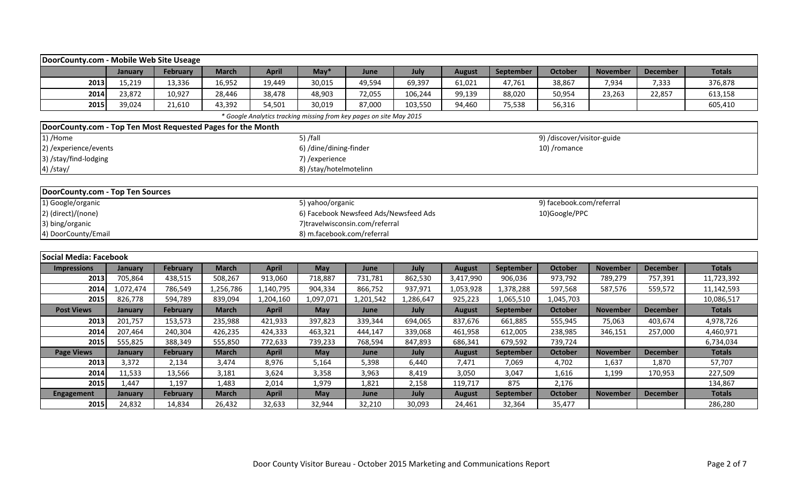| DoorCounty.com - Mobile Web Site Useage                     |                |                 |              |              |                            |                                                                     |           |               |                  |                            |                 |                 |               |
|-------------------------------------------------------------|----------------|-----------------|--------------|--------------|----------------------------|---------------------------------------------------------------------|-----------|---------------|------------------|----------------------------|-----------------|-----------------|---------------|
|                                                             | January        | February        | <b>March</b> | <b>April</b> | $May*$                     | June                                                                | July      | <b>August</b> | September        | <b>October</b>             | <b>November</b> | <b>December</b> | <b>Totals</b> |
| 2013                                                        | 15,219         | 13,336          | 16,952       | 19,449       | 30,015                     | 49,594                                                              | 69,397    | 61,021        | 47,761           | 38,867                     | 7,934           | 7,333           | 376,878       |
| 2014                                                        | 23,872         | 10,927          | 28,446       | 38,478       | 48,903                     | 72,055                                                              | 106,244   | 99,139        | 88,020           | 50,954                     | 23,263          | 22,857          | 613,158       |
| 2015                                                        | 39,024         | 21,610          | 43,392       | 54,501       | 30,019                     | 87,000                                                              | 103,550   | 94,460        | 75,538           | 56,316                     |                 |                 | 605,410       |
|                                                             |                |                 |              |              |                            | * Google Analytics tracking missing from key pages on site May 2015 |           |               |                  |                            |                 |                 |               |
| DoorCounty.com - Top Ten Most Requested Pages for the Month |                |                 |              |              |                            |                                                                     |           |               |                  |                            |                 |                 |               |
| 1) /Home                                                    |                |                 |              |              | $5)$ /fall                 |                                                                     |           |               |                  | 9) /discover/visitor-guide |                 |                 |               |
| 2) / experience/ events                                     |                |                 |              |              | 6) /dine/dining-finder     |                                                                     |           |               |                  | 10) /romance               |                 |                 |               |
| 3) /stay/find-lodging                                       |                |                 |              |              | 7) / experience            |                                                                     |           |               |                  |                            |                 |                 |               |
| 4) /stay/                                                   |                |                 |              |              | 8) /stay/hotelmotelinn     |                                                                     |           |               |                  |                            |                 |                 |               |
|                                                             |                |                 |              |              |                            |                                                                     |           |               |                  |                            |                 |                 |               |
| DoorCounty.com - Top Ten Sources                            |                |                 |              |              |                            |                                                                     |           |               |                  |                            |                 |                 |               |
| 1) Google/organic                                           |                |                 |              |              | 5) yahoo/organic           |                                                                     |           |               |                  | 9) facebook.com/referral   |                 |                 |               |
| 2) (direct)/(none)                                          |                |                 |              |              |                            | 6) Facebook Newsfeed Ads/Newsfeed Ads                               |           |               |                  | 10)Google/PPC              |                 |                 |               |
| 3) bing/organic                                             |                |                 |              |              |                            | 7)travelwisconsin.com/referral                                      |           |               |                  |                            |                 |                 |               |
| 4) DoorCounty/Email                                         |                |                 |              |              | 8) m.facebook.com/referral |                                                                     |           |               |                  |                            |                 |                 |               |
|                                                             |                |                 |              |              |                            |                                                                     |           |               |                  |                            |                 |                 |               |
| Social Media: Facebook                                      |                |                 |              |              |                            |                                                                     |           |               |                  |                            |                 |                 |               |
| <b>Impressions</b>                                          | January        | <b>February</b> | <b>March</b> | <b>April</b> | May                        | June                                                                | July      | <b>August</b> | September        | <b>October</b>             | <b>November</b> | <b>December</b> | <b>Totals</b> |
| 2013                                                        | 705,864        | 438,515         | 508,267      | 913,060      | 718,887                    | 731,781                                                             | 862,530   | 3,417,990     | 906,036          | 973,792                    | 789,279         | 757,391         | 11,723,392    |
| 2014                                                        | 1,072,474      | 786,549         | 1,256,786    | 1,140,795    | 904,334                    | 866,752                                                             | 937,971   | 1,053,928     | 1,378,288        | 597,568                    | 587,576         | 559,572         | 11,142,593    |
| 2015                                                        | 826,778        | 594,789         | 839,094      | 1,204,160    | 1,097,071                  | 1,201,542                                                           | 1,286,647 | 925,223       | 1,065,510        | 1,045,703                  |                 |                 | 10,086,517    |
| <b>Post Views</b>                                           | January        | February        | <b>March</b> | <b>April</b> | <b>May</b>                 | June                                                                | July      | <b>August</b> | September        | <b>October</b>             | <b>November</b> | <b>December</b> | <b>Totals</b> |
| 2013                                                        | 201,757        | 153,573         | 235,988      | 421,933      | 397,823                    | 339,344                                                             | 694,065   | 837,676       | 661,885          | 555,945                    | 75,063          | 403,674         | 4,978,726     |
| 2014                                                        | 207,464        | 240,304         | 426,235      | 424,333      | 463,321                    | 444,147                                                             | 339,068   | 461,958       | 612,005          | 238,985                    | 346,151         | 257,000         | 4,460,971     |
| 2015                                                        | 555,825        | 388,349         | 555,850      | 772,633      | 739,233                    | 768,594                                                             | 847,893   | 686,341       | 679,592          | 739,724                    |                 |                 | 6,734,034     |
| <b>Page Views</b>                                           | <b>January</b> | February        | <b>March</b> | <b>April</b> | <b>May</b>                 | June                                                                | July      | <b>August</b> | <b>September</b> | <b>October</b>             | <b>November</b> | <b>December</b> | <b>Totals</b> |
| 2013                                                        | 3,372          | 2,134           | 3,474        | 8,976        | 5,164                      | 5,398                                                               | 6,440     | 7,471         | 7,069            | 4,702                      | 1,637           | 1,870           | 57,707        |
| 2014                                                        | 11,533         | 13,566          | 3,181        | 3,624        | 3,358                      | 3,963                                                               | 8,419     | 3,050         | 3,047            | 1,616                      | 1,199           | 170,953         | 227,509       |
| 2015                                                        | 1,447          | 1,197           | 1,483        | 2,014        | 1,979                      | 1,821                                                               | 2,158     | 119,717       | 875              | 2,176                      |                 |                 | 134,867       |
| Engagement                                                  | January        | February        | <b>March</b> | <b>April</b> | May                        | June                                                                | July      | <b>August</b> | September        | <b>October</b>             | <b>November</b> | <b>December</b> | <b>Totals</b> |
| 2015                                                        | 24,832         | 14,834          | 26,432       | 32,633       | 32,944                     | 32,210                                                              | 30,093    | 24,461        | 32,364           | 35,477                     |                 |                 | 286,280       |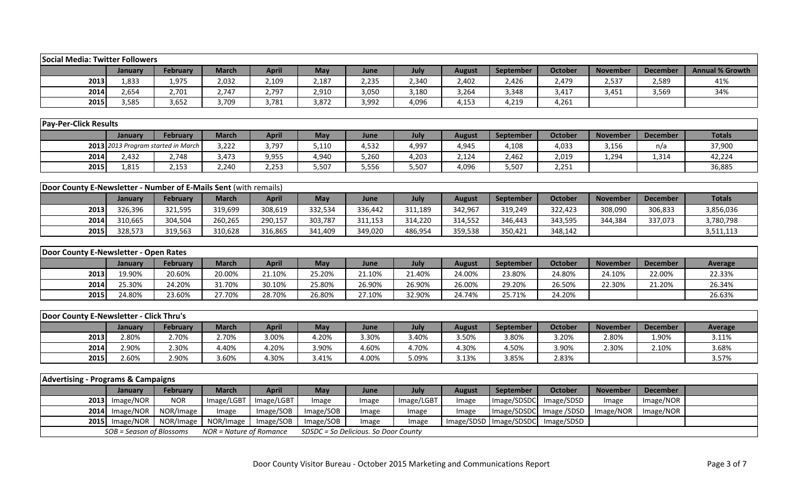| <b>Social Media: Twitter Followers</b>                           |                          |                                    |                         |              |            |                                      |            |               |             |                |                 |                 |                        |
|------------------------------------------------------------------|--------------------------|------------------------------------|-------------------------|--------------|------------|--------------------------------------|------------|---------------|-------------|----------------|-----------------|-----------------|------------------------|
|                                                                  | January                  | February                           | <b>March</b>            | <b>April</b> | <b>May</b> | June                                 | July       | <b>August</b> | September   | <b>October</b> | <b>November</b> | <b>December</b> | <b>Annual % Growth</b> |
| 2013                                                             | 1,833                    | 1,975                              | 2,032                   | 2,109        | 2,187      | 2,235                                | 2,340      | 2,402         | 2,426       | 2,479          | 2,537           | 2,589           | 41%                    |
| 2014                                                             | 2,654                    | 2,701                              | 2,747                   | 2,797        | 2,910      | 3,050                                | 3,180      | 3,264         | 3,348       | 3,417          | 3,451           | 3,569           | 34%                    |
| 2015                                                             | 3,585                    | 3,652                              | 3,709                   | 3,781        | 3,872      | 3,992                                | 4,096      | 4,153         | 4,219       | 4,261          |                 |                 |                        |
|                                                                  |                          |                                    |                         |              |            |                                      |            |               |             |                |                 |                 |                        |
| <b>Pay-Per-Click Results</b>                                     |                          |                                    |                         |              |            |                                      |            |               |             |                |                 |                 |                        |
|                                                                  | January                  | February                           | <b>March</b>            | <b>April</b> | May        | June                                 | July       | <b>August</b> | September   | <b>October</b> | <b>November</b> | <b>December</b> | <b>Totals</b>          |
|                                                                  |                          | 2013 2013 Program started in March | 3,222                   | 3,797        | 5,110      | 4,532                                | 4,997      | 4,945         | 4,108       | 4,033          | 3,156           | n/a             | 37,900                 |
| 2014                                                             | 2,432                    | 2,748                              | 3,473                   | 9,955        | 4,940      | 5,260                                | 4,203      | 2,124         | 2,462       | 2,019          | 1,294           | 1,314           | 42,224                 |
| 2015                                                             | 1,815                    | 2,153                              | 2,240                   | 2,253        | 5,507      | 5,556                                | 5,507      | 4,096         | 5,507       | 2,251          |                 |                 | 36,885                 |
|                                                                  |                          |                                    |                         |              |            |                                      |            |               |             |                |                 |                 |                        |
| Door County E-Newsletter - Number of E-Mails Sent (with remails) |                          |                                    |                         |              |            |                                      |            |               |             |                |                 |                 |                        |
|                                                                  | January                  | February                           | <b>March</b>            | <b>April</b> | May        | June                                 | July       | <b>August</b> | September   | <b>October</b> | <b>November</b> | <b>December</b> | <b>Totals</b>          |
| 2013                                                             | 326,396                  | 321,595                            | 319,699                 | 308,619      | 332,534    | 336,442                              | 311,189    | 342,967       | 319,249     | 322,423        | 308,090         | 306,833         | 3,856,036              |
| 2014                                                             | 310,665                  | 304,504                            | 260,265                 | 290,157      | 303,787    | 311,153                              | 314,220    | 314,552       | 346,443     | 343,595        | 344,384         | 337,073         | 3,780,798              |
| 2015                                                             | 328,573                  | 319,563                            | 310,628                 | 316,865      | 341,409    | 349,020                              | 486,954    | 359,538       | 350,421     | 348,142        |                 |                 | 3,511,113              |
|                                                                  |                          |                                    |                         |              |            |                                      |            |               |             |                |                 |                 |                        |
| Door County E-Newsletter - Open Rates                            |                          |                                    |                         |              |            |                                      |            |               |             |                |                 |                 |                        |
|                                                                  | January                  | <b>February</b>                    | <b>March</b>            | <b>April</b> | May        | June                                 | July       | <b>August</b> | September   | <b>October</b> | <b>November</b> | <b>December</b> | <b>Average</b>         |
| 2013                                                             | 19.90%                   | 20.60%                             | 20.00%                  | 21.10%       | 25.20%     | 21.10%                               | 21.40%     | 24.00%        | 23.80%      | 24.80%         | 24.10%          | 22.00%          | 22.33%                 |
| 2014                                                             | 25.30%                   | 24.20%                             | 31.70%                  | 30.10%       | 25.80%     | 26.90%                               | 26.90%     | 26.00%        | 29.20%      | 26.50%         | 22.30%          | 21.20%          | 26.34%                 |
| 2015                                                             | 24.80%                   | 23.60%                             | 27.70%                  | 28.70%       | 26.80%     | 27.10%                               | 32.90%     | 24.74%        | 25.71%      | 24.20%         |                 |                 | 26.63%                 |
|                                                                  |                          |                                    |                         |              |            |                                      |            |               |             |                |                 |                 |                        |
| Door County E-Newsletter - Click Thru's                          |                          |                                    |                         |              |            |                                      |            |               |             |                |                 |                 |                        |
|                                                                  | January                  | <b>February</b>                    | <b>March</b>            | <b>April</b> | May        | June                                 | July       | <b>August</b> | September   | <b>October</b> | <b>November</b> | <b>December</b> | <b>Average</b>         |
| 2013                                                             | 2.80%                    | 2.70%                              | 2.70%                   | 3.00%        | 4.20%      | 3.30%                                | 3.40%      | 3.50%         | 3.80%       | 3.20%          | 2.80%           | 1.90%           | 3.11%                  |
| 2014                                                             | 2.90%                    | 2.30%                              | 4.40%                   | 4.20%        | 3.90%      | 4.60%                                | 4.70%      | 4.30%         | 4.50%       | 3.90%          | 2.30%           | 2.10%           | 3.68%                  |
| 2015                                                             | 2.60%                    | 2.90%                              | 3.60%                   | 4.30%        | 3.41%      | 4.00%                                | 5.09%      | 3.13%         | 3.85%       | 2.83%          |                 |                 | 3.57%                  |
|                                                                  |                          |                                    |                         |              |            |                                      |            |               |             |                |                 |                 |                        |
| <b>Advertising - Programs &amp; Campaigns</b>                    |                          |                                    |                         |              |            |                                      |            |               |             |                |                 |                 |                        |
|                                                                  | January                  | <b>February</b>                    | <b>March</b>            | <b>April</b> | May        | June                                 | July       | <b>August</b> | September   | <b>October</b> | <b>November</b> | <b>December</b> |                        |
| 2013                                                             | Image/NOR                | <b>NOR</b>                         | Image/LGBT              | Image/LGBT   | Image      | Image                                | Image/LGBT | Image         | Image/SDSDC | Image/SDSD     | Image           | Image/NOR       |                        |
| 2014                                                             | Image/NOR                | NOR/Image                          | Image                   | Image/SOB    | Image/SOB  | Image                                | Image      | Image         | Image/SDSDC | Image /SDSD    | Image/NOR       | Image/NOR       |                        |
| 2015                                                             | Image/NOR                | NOR/Image                          | NOR/Image               | Image/SOB    | Image/SOB  | Image                                | Image      | Image/SDSD    | Image/SDSDC | Image/SDSD     |                 |                 |                        |
|                                                                  | SOB = Season of Blossoms |                                    | NOR = Nature of Romance |              |            | SDSDC = So Delicious. So Door County |            |               |             |                |                 |                 |                        |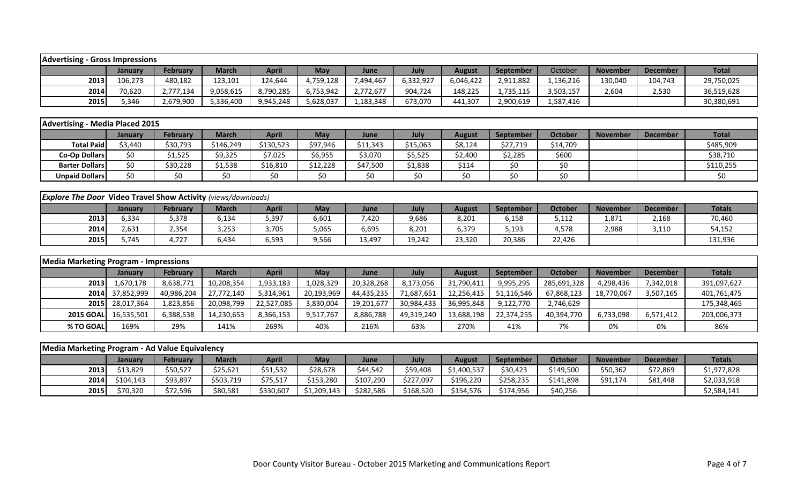| <b>Advertising - Gross Impressions</b>                               |            |                 |              |              |             |            |            |               |                  |                |                 |                 |               |
|----------------------------------------------------------------------|------------|-----------------|--------------|--------------|-------------|------------|------------|---------------|------------------|----------------|-----------------|-----------------|---------------|
|                                                                      | January    | <b>February</b> | <b>March</b> | <b>April</b> | May         | June       | July       | <b>August</b> | September        | October        | <b>November</b> | <b>December</b> | <b>Total</b>  |
| 2013                                                                 | 106,273    | 480,182         | 123,101      | 124,644      | 4,759,128   | 7,494,467  | 6,332,927  | 6,046,422     | 2,911,882        | 1,136,216      | 130,040         | 104,743         | 29,750,025    |
| 2014                                                                 | 70,620     | 2,777,134       | 9,058,615    | 8,790,285    | 6,753,942   | 2,772,677  | 904,724    | 148,225       | 1,735,115        | 3,503,157      | 2,604           | 2,530           | 36,519,628    |
| 2015                                                                 | 5,346      | 2,679,900       | 5,336,400    | 9,945,248    | 5,628,037   | 1,183,348  | 673,070    | 441,307       | 2,900,619        | 1,587,416      |                 |                 | 30,380,691    |
|                                                                      |            |                 |              |              |             |            |            |               |                  |                |                 |                 |               |
| <b>Advertising - Media Placed 2015</b>                               |            |                 |              |              |             |            |            |               |                  |                |                 |                 |               |
|                                                                      | January    | <b>February</b> | <b>March</b> | <b>April</b> | May         | June       | July       | <b>August</b> | <b>September</b> | <b>October</b> | <b>November</b> | <b>December</b> | <b>Total</b>  |
| <b>Total Paid</b>                                                    | \$3,440    | \$30,793        | \$146,249    | \$130,523    | \$97,946    | \$11,343   | \$15,063   | \$8,124       | \$27,719         | \$14,709       |                 |                 | \$485,909     |
| <b>Co-Op Dollars</b>                                                 | \$0        | \$1,525         | \$9,325      | \$7,025      | \$6,955     | \$3,070    | \$5,525    | \$2,400       | \$2,285          | \$600          |                 |                 | \$38,710      |
| <b>Barter Dollars</b>                                                | \$0        | \$30,228        | \$1,538      | \$16,810     | \$12,228    | \$47,500   | \$1,838    | \$114         | \$0              | \$0            |                 |                 | \$110,255     |
| <b>Unpaid Dollars</b>                                                | \$0        | \$0             | \$0          | \$0          | \$0         | \$0        | \$0        | \$0           | \$0              | \$0            |                 |                 | \$0\$         |
|                                                                      |            |                 |              |              |             |            |            |               |                  |                |                 |                 |               |
| <b>Explore The Door Video Travel Show Activity (views/downloads)</b> |            |                 |              |              |             |            |            |               |                  |                |                 |                 |               |
|                                                                      | January    | <b>February</b> | <b>March</b> | <b>April</b> | May         | June       | July       | <b>August</b> | September        | <b>October</b> | <b>November</b> | <b>December</b> | <b>Totals</b> |
| 2013                                                                 | 6,334      | 5,378           | 6,134        | 5,397        | 6,601       | 7,420      | 9,686      | 8,201         | 6,158            | 5,112          | 1,871           | 2,168           | 70,460        |
| 2014                                                                 | 2,631      | 2,354           | 3,253        | 3,705        | 5,065       | 6,695      | 8,201      | 6,379         | 5,193            | 4,578          | 2,988           | 3,110           | 54,152        |
| 2015                                                                 | 5,745      | 4,727           | 6,434        | 6,593        | 9,566       | 13,497     | 19,242     | 23,320        | 20,386           | 22,426         |                 |                 | 131,936       |
|                                                                      |            |                 |              |              |             |            |            |               |                  |                |                 |                 |               |
| <b>Media Marketing Program - Impressions</b>                         |            |                 |              |              |             |            |            |               |                  |                |                 |                 |               |
|                                                                      | January    | <b>February</b> | <b>March</b> | <b>April</b> | <b>May</b>  | June       | July       | <b>August</b> | September        | <b>October</b> | <b>November</b> | <b>December</b> | <b>Totals</b> |
| 2013                                                                 | 1,670,178  | 8,638,771       | 10,208,354   | 1,933,183    | 1,028,329   | 20,328,268 | 8,173,056  | 31,790,411    | 9,995,295        | 285,691,328    | 4,298,436       | 7,342,018       | 391,097,627   |
| 2014                                                                 | 37,852,999 | 40,986,204      | 27,772,140   | 5,314,961    | 20,193,969  | 44,435,235 | 71,687,651 | 12,256,415    | 51,116,546       | 67,868,123     | 18,770,067      | 3,507,165       | 401,761,475   |
| 2015                                                                 | 28,017,364 | 1,823,856       | 20,098,799   | 22,527,085   | 3,830,004   | 19,201,677 | 30,984,433 | 36,995,848    | 9,122,770        | 2,746,629      |                 |                 | 175,348,465   |
| <b>2015 GOAL</b>                                                     | 16,535,501 | 6,388,538       | 14,230,653   | 8,366,153    | 9,517,767   | 8,886,788  | 49,319,240 | 13,688,198    | 22,374,255       | 40,394,770     | 6,733,098       | 6,571,412       | 203,006,373   |
| % TO GOAL                                                            | 169%       | 29%             | 141%         | 269%         | 40%         | 216%       | 63%        | 270%          | 41%              | 7%             | 0%              | 0%              | 86%           |
|                                                                      |            |                 |              |              |             |            |            |               |                  |                |                 |                 |               |
| Media Marketing Program - Ad Value Equivalency                       |            |                 |              |              |             |            |            |               |                  |                |                 |                 |               |
|                                                                      | January    | <b>February</b> | <b>March</b> | <b>April</b> | <b>May</b>  | June       | July       | <b>August</b> | September        | <b>October</b> | <b>November</b> | <b>December</b> | <b>Totals</b> |
| 2013                                                                 | \$13,829   | \$50,527        | \$25,621     | \$51,532     | \$28,678    | \$44,542   | \$59,408   | \$1,400,537   | \$30,423         | \$149,500      | \$50,362        | \$72,869        | \$1,977,828   |
| 2014                                                                 | \$104,143  | \$93,897        | \$503,719    | \$75,517     | \$153,280   | \$107,290  | \$227,097  | \$196,220     | \$258,235        | \$141,898      | \$91,174        | \$81,448        | \$2,033,918   |
| 2015                                                                 | \$70,320   | \$72,596        | \$80,581     | \$330,607    | \$1,209,143 | \$282,586  | \$168,520  | \$154,576     | \$174,956        | \$40,256       |                 |                 | \$2,584,141   |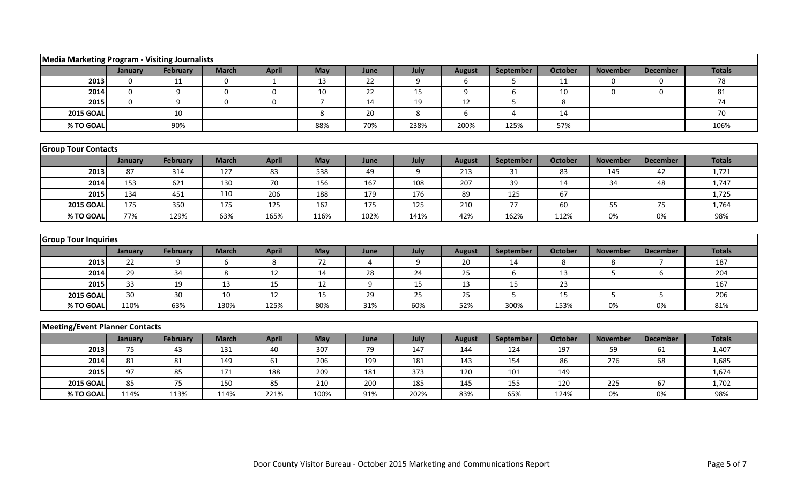| <b>Media Marketing Program - Visiting Journalists</b> |              |            |              |                  |                |            |             |               |            |                |                 |                 |               |
|-------------------------------------------------------|--------------|------------|--------------|------------------|----------------|------------|-------------|---------------|------------|----------------|-----------------|-----------------|---------------|
|                                                       | January      | February   | <b>March</b> | <b>April</b>     | May            | June       | July        | <b>August</b> | September  | <b>October</b> | <b>November</b> | <b>December</b> | <b>Totals</b> |
| 2013                                                  | $\mathbf 0$  | 11         | $\mathbf 0$  | $\mathbf{1}$     | 13             | 22         | 9           | 6             | 5          | 11             | $\Omega$        | $\Omega$        | 78            |
| 2014                                                  | $\mathbf{0}$ | 9          | $\mathbf{0}$ | $\Omega$         | 10             | 22         | 15          | 9             | 6          | 10             | $\Omega$        | $\mathbf{0}$    | 81            |
| 2015                                                  | $\mathbf 0$  | 9          | $\mathbf 0$  | $\boldsymbol{0}$ | $\overline{7}$ | 14         | 19          | 12            | 5          | 8              |                 |                 | 74            |
| <b>2015 GOAL</b>                                      |              | 10         |              |                  | 8              | 20         | 8           | 6             | 4          | 14             |                 |                 | 70            |
| % TO GOAL                                             |              | 90%        |              |                  | 88%            | 70%        | 238%        | 200%          | 125%       | 57%            |                 |                 | 106%          |
|                                                       |              |            |              |                  |                |            |             |               |            |                |                 |                 |               |
| <b>Group Tour Contacts</b>                            |              |            |              |                  |                |            |             |               |            |                |                 |                 |               |
|                                                       | January      | February   | <b>March</b> | <b>April</b>     | May            | June       | July        | <b>August</b> | September  | <b>October</b> | <b>November</b> | <b>December</b> | <b>Totals</b> |
| 2013                                                  | 87           | 314        | 127          | 83               | 538            | 49         | 9           | 213           | 31         | 83             | 145             | 42              | 1,721         |
| 2014                                                  | 153          | 621        | 130          | 70               | 156            | 167        | 108         | 207           | 39         | 14             | 34              | 48              | 1,747         |
| 2015                                                  | 134          | 451        | 110          | 206              | 188            | 179        | 176         | 89            | 125        | 67             |                 |                 | 1,725         |
| <b>2015 GOAL</b>                                      | 175          | 350        | 175          | 125              | 162            | 175        | 125         | 210           | 77         | 60             | 55              | 75              | 1,764         |
| % TO GOAL                                             | 77%          | 129%       | 63%          | 165%             | 116%           | 102%       | 141%        | 42%           | 162%       | 112%           | 0%              | 0%              | 98%           |
|                                                       |              |            |              |                  |                |            |             |               |            |                |                 |                 |               |
| <b>Group Tour Inquiries</b>                           |              |            |              |                  |                |            |             |               |            |                |                 |                 |               |
|                                                       | January      | February   | <b>March</b> | <b>April</b>     | May            | June       | July        | <b>August</b> | September  | <b>October</b> | <b>November</b> | <b>December</b> | <b>Totals</b> |
| 2013                                                  | 22           | q          | 6            | 8                | 72             | 4          | 9           | 20            | 14         | 8              | 8               | 7               | 187           |
| 2014                                                  | 29           | 34         | 8            | 12               | 14             | 28         | 24          | 25            | 6          | 13             | 5               | 6               | 204           |
| 2015                                                  | 33           | 19         | 13           | 15               | 12             | 9          | 15          | 13            | 15         | 23             |                 |                 | 167           |
| <b>2015 GOAL</b>                                      | 30           | 30         | 10           | 12               | 15             | 29         | 25          | 25            | 5          | 15             | 5               | 5               | 206           |
| % TO GOAL                                             | 110%         | 63%        | 130%         | 125%             | 80%            | 31%        | 60%         | 52%           | 300%       | 153%           | 0%              | 0%              | 81%           |
| Meeting/Event Planner Contacts                        |              |            |              |                  |                |            |             |               |            |                |                 |                 |               |
|                                                       |              |            |              |                  |                |            |             |               |            |                |                 |                 |               |
|                                                       | January      | February   | <b>March</b> | <b>April</b>     | May            | June       | July        | <b>August</b> | September  | <b>October</b> | <b>November</b> | <b>December</b> | <b>Totals</b> |
| 2013                                                  |              |            |              |                  |                |            |             |               |            |                |                 |                 |               |
|                                                       | 75           | 43         | 131          | 40               | 307            | 79         | 147         | 144           | 124        | 197            | 59              | 61              | 1,407         |
| 2014                                                  | 81           | 81         | 149          | 61               | 206            | 199        | 181         | 143           | 154        | 86             | 276             | 68              | 1,685         |
| 2015                                                  | 97           | 85         | 171          | 188              | 209            | 181        | 373         | 120           | 101        | 149            |                 |                 | 1,674         |
| <b>2015 GOAI</b><br>% TO GOAI                         | 85<br>114%   | 75<br>113% | 150<br>114%  | 85<br>221%       | 210<br>100%    | 200<br>91% | 185<br>202% | 145<br>83%    | 155<br>65% | 120<br>124%    | 225<br>0%       | 67<br>0%        | 1,702<br>98%  |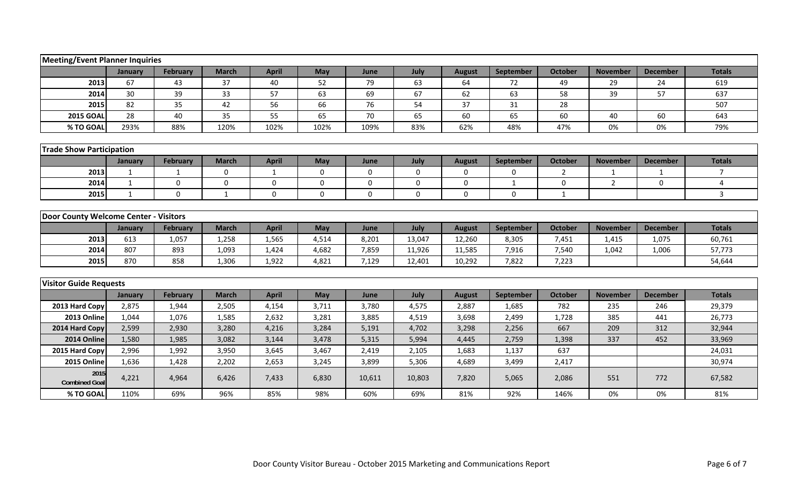|                                       | <b>Meeting/Event Planner Inquiries</b> |                 |              |              |             |        |             |                  |              |                |                 |                 |                |  |
|---------------------------------------|----------------------------------------|-----------------|--------------|--------------|-------------|--------|-------------|------------------|--------------|----------------|-----------------|-----------------|----------------|--|
|                                       | January                                | <b>February</b> | <b>March</b> | <b>April</b> | May         | June   | July        | <b>August</b>    | September    | October        | <b>November</b> | <b>December</b> | <b>Totals</b>  |  |
| 2013                                  | 67                                     | 43              | 37           | 40           | 52          | 79     | 63          | 64               | 72           | 49             | 29              | 24              | 619            |  |
| 2014                                  | 30                                     | 39              | 33           | 57           | 63          | 69     | 67          | 62               | 63           | 58             | 39              | 57              | 637            |  |
| 2015                                  | 82                                     | 35              | 42           | 56           | 66          | 76     | 54          | 37               | 31           | 28             |                 |                 | 507            |  |
| <b>2015 GOAL</b>                      | 28                                     | 40              | 35           | 55           | 65          | 70     | 65          | 60               | 65           | 60             | 40              | 60              | 643            |  |
| % TO GOAL                             | 293%                                   | 88%             | 120%         | 102%         | 102%        | 109%   | 83%         | 62%              | 48%          | 47%            | 0%              | 0%              | 79%            |  |
|                                       |                                        |                 |              |              |             |        |             |                  |              |                |                 |                 |                |  |
| <b>Trade Show Participation</b>       |                                        |                 |              |              |             |        |             |                  |              |                |                 |                 |                |  |
|                                       | January                                | February        | <b>March</b> | <b>April</b> | May         | June   | July        | <b>August</b>    | September    | October        | <b>November</b> | <b>December</b> | <b>Totals</b>  |  |
| 2013                                  | 1                                      | 1               | $\mathbf 0$  | $\mathbf{1}$ | 0           | 0      | $\mathbf 0$ | $\mathbf{0}$     | $\mathbf 0$  | $\overline{2}$ | 1               | 1               | $\overline{7}$ |  |
| 2014                                  | $\mathbf{1}$                           | $\mathbf{0}$    | $\mathbf 0$  | 0            | $\mathbf 0$ | 0      | $\mathbf 0$ | $\boldsymbol{0}$ | $\mathbf{1}$ | 0              | $\overline{2}$  | $\mathbf 0$     | $\overline{4}$ |  |
| 2015                                  | $\mathbf{1}$                           | $\mathbf 0$     | $\mathbf{1}$ | $\mathbf{0}$ | $\mathbf 0$ | 0      | $\mathbf 0$ | $\mathbf 0$      | $\mathbf 0$  | $\mathbf{1}$   |                 |                 | $\overline{3}$ |  |
|                                       |                                        |                 |              |              |             |        |             |                  |              |                |                 |                 |                |  |
| Door County Welcome Center - Visitors |                                        |                 |              |              |             |        |             |                  |              |                |                 |                 |                |  |
|                                       | January                                | February        | <b>March</b> | <b>April</b> | May         | June   | July        | <b>August</b>    | September    | <b>October</b> | <b>November</b> | <b>December</b> | <b>Totals</b>  |  |
| 2013                                  | 613                                    | 1,057           | 1,258        | 1,565        | 4,514       | 8,201  | 13,047      | 12,260           | 8,305        | 7,451          | 1,415           | 1,075           | 60,761         |  |
| 2014                                  | 807                                    | 893             | 1,093        | 1,424        | 4,682       | 7,859  | 11,926      | 11,585           | 7,916        | 7,540          | 1,042           | 1,006           | 57,773         |  |
| 2015                                  | 870                                    | 858             | 1,306        | 1,922        | 4,821       | 7,129  | 12,401      | 10,292           | 7,822        | 7,223          |                 |                 | 54,644         |  |
|                                       |                                        |                 |              |              |             |        |             |                  |              |                |                 |                 |                |  |
| <b>Visitor Guide Requests</b>         |                                        |                 |              |              |             |        |             |                  |              |                |                 |                 |                |  |
|                                       | January                                | <b>February</b> | <b>March</b> | <b>April</b> | May         | June   | July        | <b>August</b>    | September    | <b>October</b> | <b>November</b> | <b>December</b> | <b>Totals</b>  |  |
| 2013 Hard Copy                        | 2,875                                  | 1,944           | 2,505        | 4,154        | 3,711       | 3,780  | 4,575       | 2,887            | 1,685        | 782            | 235             | 246             | 29,379         |  |
| 2013 Online                           | 1,044                                  | 1,076           | 1,585        | 2,632        | 3,281       | 3,885  | 4,519       | 3,698            | 2,499        | 1,728          | 385             | 441             | 26,773         |  |
| 2014 Hard Copy                        | 2,599                                  | 2,930           | 3,280        | 4,216        | 3,284       | 5,191  | 4,702       | 3,298            | 2,256        | 667            | 209             | 312             | 32,944         |  |
| 2014 Online                           | 1,580                                  | 1,985           | 3,082        | 3,144        | 3,478       | 5,315  | 5,994       | 4,445            | 2,759        | 1,398          | 337             | 452             | 33,969         |  |
| 2015 Hard Copy                        | 2,996                                  | 1,992           | 3,950        | 3,645        | 3,467       | 2,419  | 2,105       | 1,683            | 1,137        | 637            |                 |                 | 24,031         |  |
| 2015 Online                           | 1,636                                  | 1,428           | 2,202        | 2,653        | 3,245       | 3,899  | 5,306       | 4,689            | 3,499        | 2,417          |                 |                 | 30,974         |  |
| 2015<br><b>Combined Goal</b>          | 4,221                                  | 4,964           | 6,426        | 7,433        | 6,830       | 10,611 | 10,803      | 7,820            | 5,065        | 2,086          | 551             | 772             | 67,582         |  |
| % TO GOAL                             | 110%                                   | 69%             | 96%          | 85%          | 98%         | 60%    | 69%         | 81%              | 92%          | 146%           | 0%              | 0%              | 81%            |  |